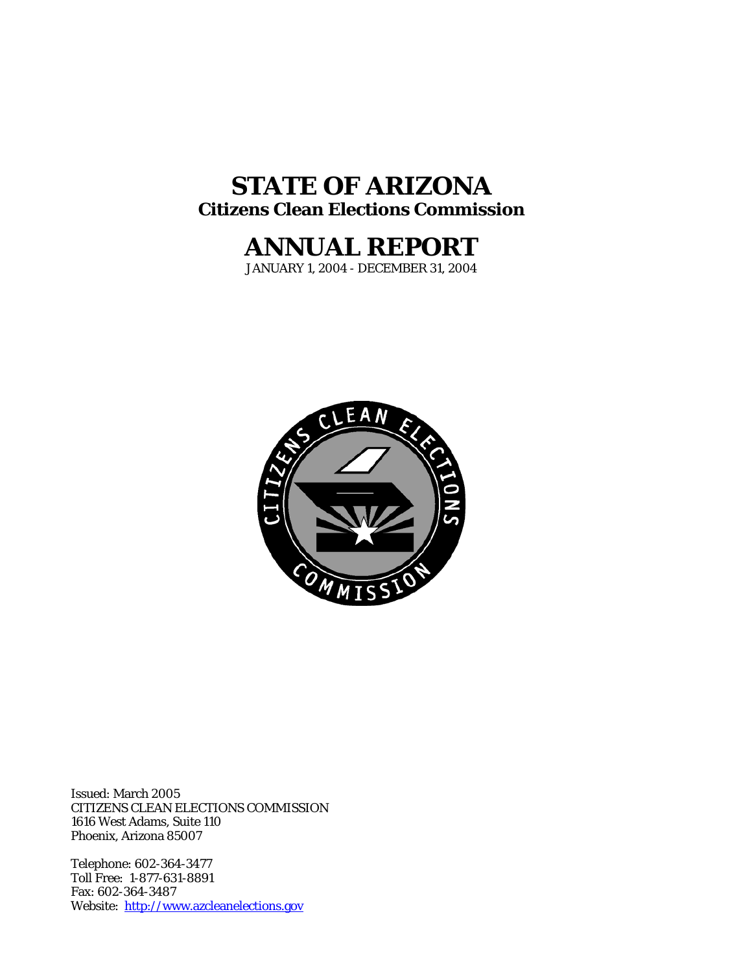# **STATE OF ARIZONA Citizens Clean Elections Commission**

# **ANNUAL REPORT**

JANUARY 1, 2004 - DECEMBER 31, 2004



Issued: March 2005 CITIZENS CLEAN ELECTIONS COMMISSION 1616 West Adams, Suite 110 Phoenix, Arizona 85007

Telephone: 602-364-3477 Toll Free: 1-877-631-8891 Fax: 602-364-3487 Website: [http://www.azcleanelections.gov](http://www.azcleanelections.gov/)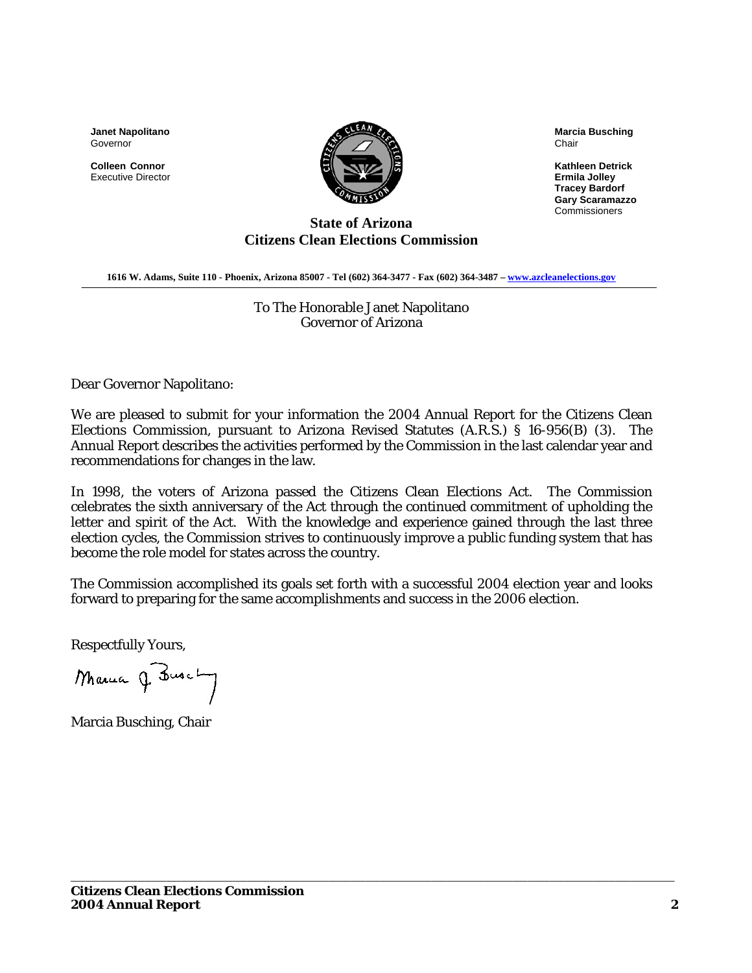**Janet Napolitano Governor** 

**Colleen Connor**  Executive Director



**Marcia Busching**  Chair

**Kathleen Detrick Ermila Jolley Tracey Bardorf Gary Scaramazzo**  Commissioners

#### **State of Arizona Citizens Clean Elections Commission**

**1616 W. Adams, Suite 110 - Phoenix, Arizona 85007 - Tel (602) 364-3477 - Fax (602) 364-3487 – [www.azcleanelections.gov](http://www.azcleanelections.gov/)**

#### To The Honorable Janet Napolitano Governor of Arizona

Dear Governor Napolitano:

We are pleased to submit for your information the 2004 Annual Report for the Citizens Clean Elections Commission, pursuant to Arizona Revised Statutes (A.R.S.) § 16-956(B) (3). The Annual Report describes the activities performed by the Commission in the last calendar year and recommendations for changes in the law.

In 1998, the voters of Arizona passed the Citizens Clean Elections Act. The Commission celebrates the sixth anniversary of the Act through the continued commitment of upholding the letter and spirit of the Act. With the knowledge and experience gained through the last three election cycles, the Commission strives to continuously improve a public funding system that has become the role model for states across the country.

The Commission accomplished its goals set forth with a successful 2004 election year and looks forward to preparing for the same accomplishments and success in the 2006 election.

Respectfully Yours,

Maura J. Busch

Marcia Busching, Chair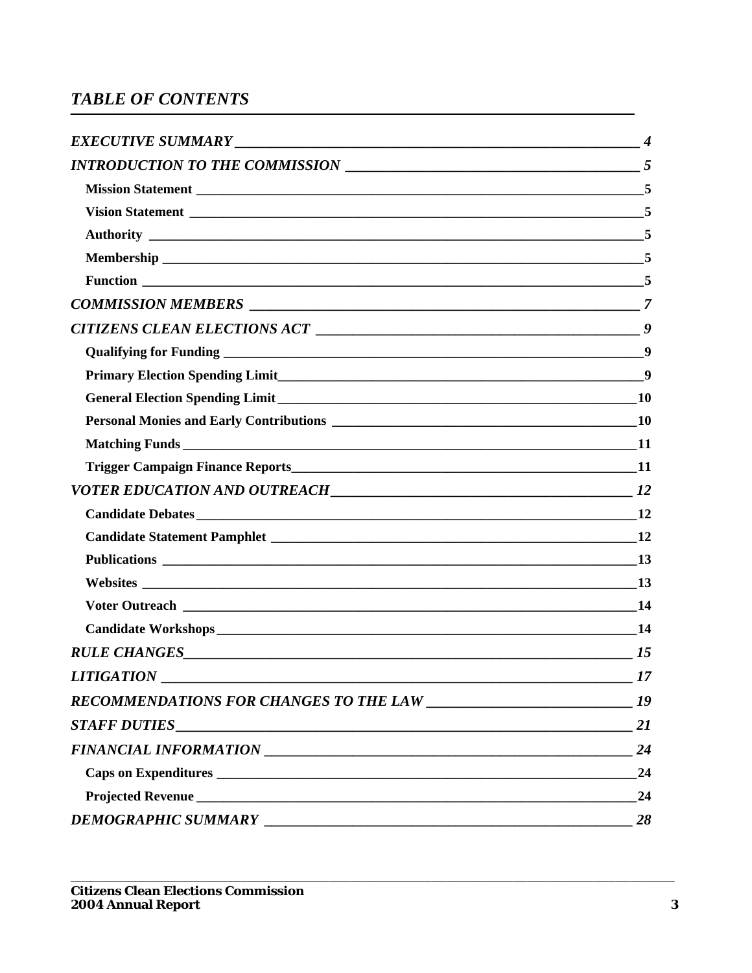## **TABLE OF CONTENTS**

| CITIZENS CLEAN ELECTIONS ACT |                |
|------------------------------|----------------|
|                              |                |
|                              | $\overline{9}$ |
|                              |                |
|                              |                |
|                              |                |
|                              |                |
|                              |                |
|                              |                |
|                              |                |
|                              |                |
|                              |                |
|                              |                |
|                              |                |
| RULE CHANGES 15              |                |
| <b>LITIGATION</b>            | $\frac{17}{2}$ |
|                              |                |
| <b>STAFF DUTIES</b>          | <b>21</b>      |
|                              | 24             |
|                              | 24             |
|                              | 24             |
|                              | 28             |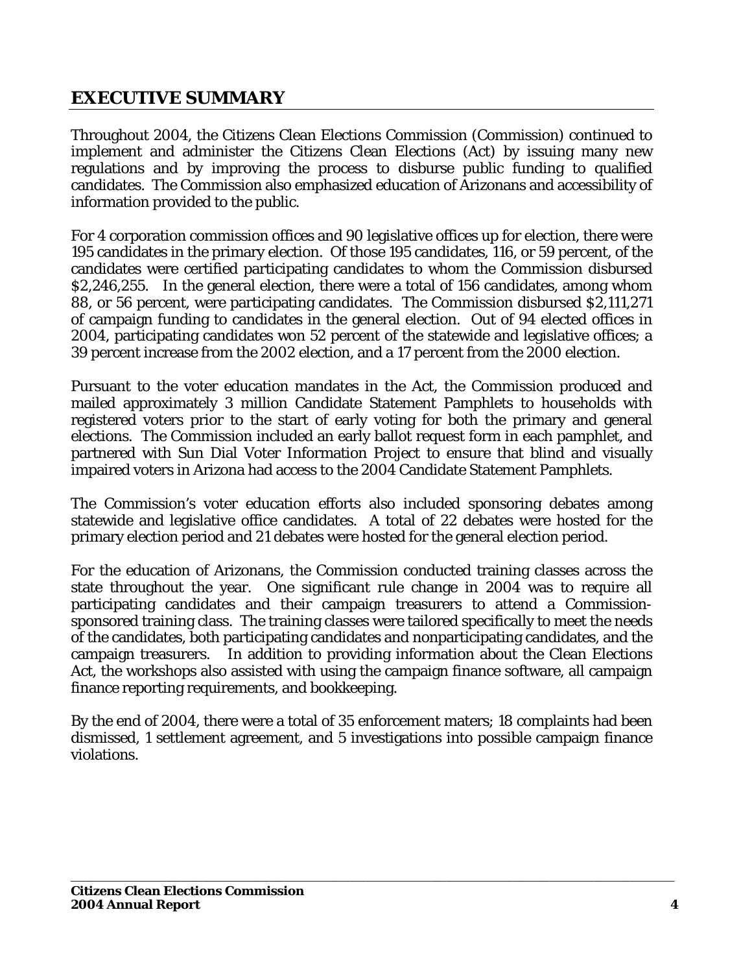## <span id="page-3-0"></span>**EXECUTIVE SUMMARY**

Throughout 2004, the Citizens Clean Elections Commission (Commission) continued to implement and administer the Citizens Clean Elections (Act) by issuing many new regulations and by improving the process to disburse public funding to qualified candidates. The Commission also emphasized education of Arizonans and accessibility of information provided to the public.

For 4 corporation commission offices and 90 legislative offices up for election, there were 195 candidates in the primary election. Of those 195 candidates, 116, or 59 percent, of the candidates were certified participating candidates to whom the Commission disbursed \$2,246,255. In the general election, there were a total of 156 candidates, among whom 88, or 56 percent, were participating candidates. The Commission disbursed \$2,111,271 of campaign funding to candidates in the general election. Out of 94 elected offices in 2004, participating candidates won 52 percent of the statewide and legislative offices; a 39 percent increase from the 2002 election, and a 17 percent from the 2000 election.

Pursuant to the voter education mandates in the Act, the Commission produced and mailed approximately 3 million Candidate Statement Pamphlets to households with registered voters prior to the start of early voting for both the primary and general elections. The Commission included an early ballot request form in each pamphlet, and partnered with Sun Dial Voter Information Project to ensure that blind and visually impaired voters in Arizona had access to the 2004 Candidate Statement Pamphlets.

The Commission's voter education efforts also included sponsoring debates among statewide and legislative office candidates. A total of 22 debates were hosted for the primary election period and 21 debates were hosted for the general election period.

For the education of Arizonans, the Commission conducted training classes across the state throughout the year. One significant rule change in 2004 was to require all participating candidates and their campaign treasurers to attend a Commissionsponsored training class. The training classes were tailored specifically to meet the needs of the candidates, both participating candidates and nonparticipating candidates, and the campaign treasurers. In addition to providing information about the Clean Elections Act, the workshops also assisted with using the campaign finance software, all campaign finance reporting requirements, and bookkeeping.

By the end of 2004, there were a total of 35 enforcement maters; 18 complaints had been dismissed, 1 settlement agreement, and 5 investigations into possible campaign finance violations.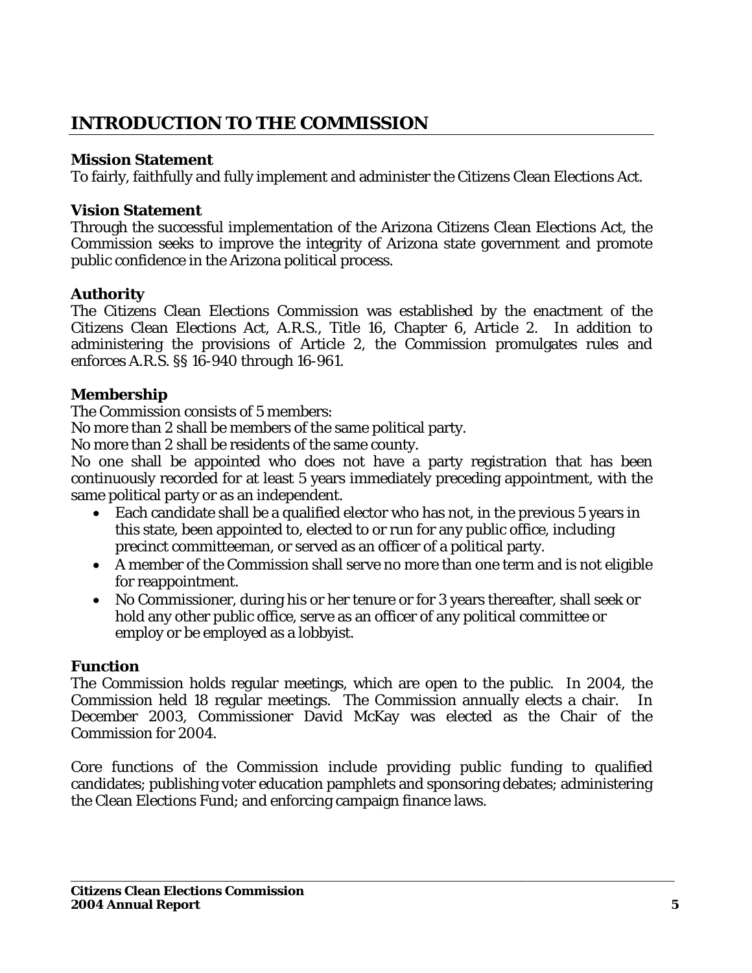## <span id="page-4-0"></span>**INTRODUCTION TO THE COMMISSION**

## **Mission Statement**

To fairly, faithfully and fully implement and administer the Citizens Clean Elections Act.

## **Vision Statement**

Through the successful implementation of the Arizona Citizens Clean Elections Act, the Commission seeks to improve the integrity of Arizona state government and promote public confidence in the Arizona political process.

## **Authority**

The Citizens Clean Elections Commission was established by the enactment of the Citizens Clean Elections Act, A.R.S., Title 16, Chapter 6, Article 2. In addition to administering the provisions of Article 2, the Commission promulgates rules and enforces A.R.S. §§ 16-940 through 16-961.

## **Membership**

The Commission consists of 5 members:

No more than 2 shall be members of the same political party.

No more than 2 shall be residents of the same county.

No one shall be appointed who does not have a party registration that has been continuously recorded for at least 5 years immediately preceding appointment, with the same political party or as an independent.

- Each candidate shall be a qualified elector who has not, in the previous 5 years in this state, been appointed to, elected to or run for any public office, including precinct committeeman, or served as an officer of a political party.
- A member of the Commission shall serve no more than one term and is not eligible for reappointment.
- No Commissioner, during his or her tenure or for 3 years thereafter, shall seek or hold any other public office, serve as an officer of any political committee or employ or be employed as a lobbyist.

## **Function**

The Commission holds regular meetings, which are open to the public. In 2004, the Commission held 18 regular meetings. The Commission annually elects a chair. In December 2003, Commissioner David McKay was elected as the Chair of the Commission for 2004.

Core functions of the Commission include providing public funding to qualified candidates; publishing voter education pamphlets and sponsoring debates; administering the Clean Elections Fund; and enforcing campaign finance laws.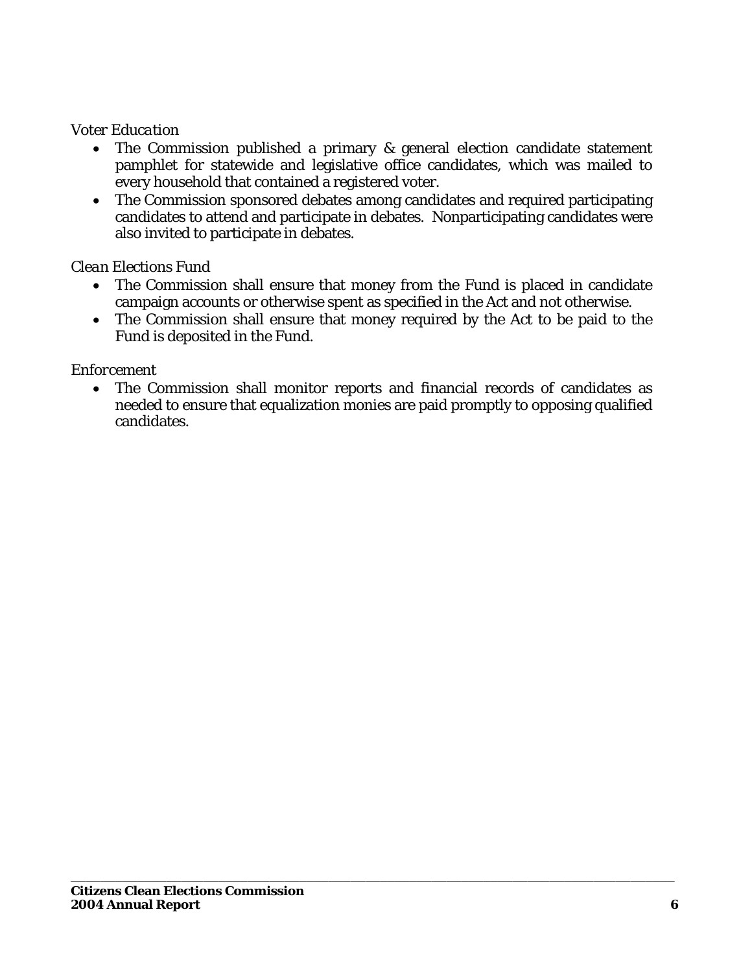#### *Voter Education*

- The Commission published a primary & general election candidate statement pamphlet for statewide and legislative office candidates, which was mailed to every household that contained a registered voter.
- The Commission sponsored debates among candidates and required participating candidates to attend and participate in debates. Nonparticipating candidates were also invited to participate in debates.

#### *Clean Elections Fund*

- The Commission shall ensure that money from the Fund is placed in candidate campaign accounts or otherwise spent as specified in the Act and not otherwise.
- The Commission shall ensure that money required by the Act to be paid to the Fund is deposited in the Fund.

#### *Enforcement*

• The Commission shall monitor reports and financial records of candidates as needed to ensure that equalization monies are paid promptly to opposing qualified candidates.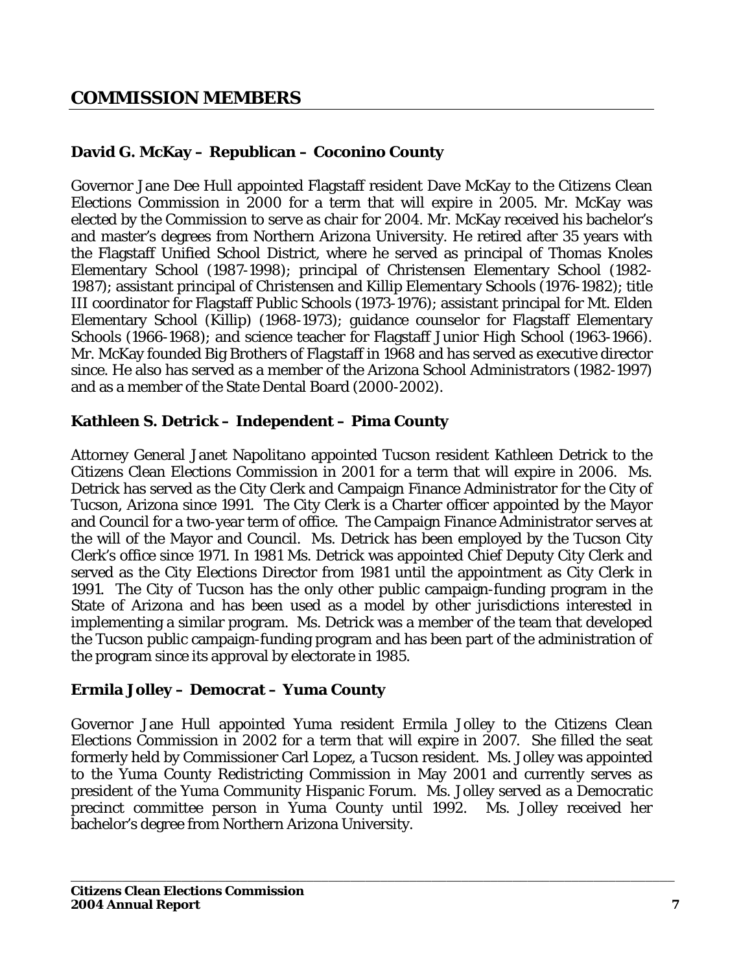### <span id="page-6-0"></span>**David G. McKay – Republican – Coconino County**

Governor Jane Dee Hull appointed Flagstaff resident Dave McKay to the Citizens Clean Elections Commission in 2000 for a term that will expire in 2005. Mr. McKay was elected by the Commission to serve as chair for 2004. Mr. McKay received his bachelor's and master's degrees from Northern Arizona University. He retired after 35 years with the Flagstaff Unified School District, where he served as principal of Thomas Knoles Elementary School (1987-1998); principal of Christensen Elementary School (1982- 1987); assistant principal of Christensen and Killip Elementary Schools (1976-1982); title III coordinator for Flagstaff Public Schools (1973-1976); assistant principal for Mt. Elden Elementary School (Killip) (1968-1973); guidance counselor for Flagstaff Elementary Schools (1966-1968); and science teacher for Flagstaff Junior High School (1963-1966). Mr. McKay founded Big Brothers of Flagstaff in 1968 and has served as executive director since. He also has served as a member of the Arizona School Administrators (1982-1997) and as a member of the State Dental Board (2000-2002).

#### **Kathleen S. Detrick – Independent – Pima County**

Attorney General Janet Napolitano appointed Tucson resident Kathleen Detrick to the Citizens Clean Elections Commission in 2001 for a term that will expire in 2006. Ms. Detrick has served as the City Clerk and Campaign Finance Administrator for the City of Tucson, Arizona since 1991. The City Clerk is a Charter officer appointed by the Mayor and Council for a two-year term of office. The Campaign Finance Administrator serves at the will of the Mayor and Council. Ms. Detrick has been employed by the Tucson City Clerk's office since 1971. In 1981 Ms. Detrick was appointed Chief Deputy City Clerk and served as the City Elections Director from 1981 until the appointment as City Clerk in 1991. The City of Tucson has the only other public campaign-funding program in the State of Arizona and has been used as a model by other jurisdictions interested in implementing a similar program. Ms. Detrick was a member of the team that developed the Tucson public campaign-funding program and has been part of the administration of the program since its approval by electorate in 1985.

#### **Ermila Jolley – Democrat – Yuma County**

Governor Jane Hull appointed Yuma resident Ermila Jolley to the Citizens Clean Elections Commission in 2002 for a term that will expire in 2007. She filled the seat formerly held by Commissioner Carl Lopez, a Tucson resident. Ms. Jolley was appointed to the Yuma County Redistricting Commission in May 2001 and currently serves as president of the Yuma Community Hispanic Forum. Ms. Jolley served as a Democratic precinct committee person in Yuma County until 1992. Ms. Jolley received her bachelor's degree from Northern Arizona University.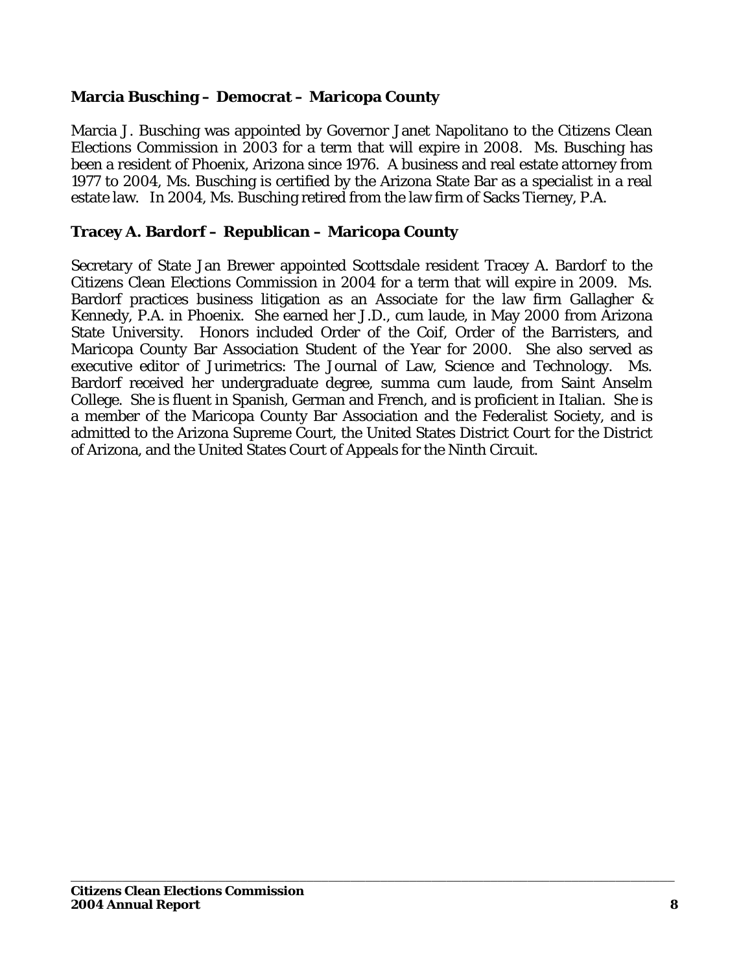#### **Marcia Busching – Democrat – Maricopa County**

Marcia J. Busching was appointed by Governor Janet Napolitano to the Citizens Clean Elections Commission in 2003 for a term that will expire in 2008. Ms. Busching has been a resident of Phoenix, Arizona since 1976. A business and real estate attorney from 1977 to 2004, Ms. Busching is certified by the Arizona State Bar as a specialist in a real estate law. In 2004, Ms. Busching retired from the law firm of Sacks Tierney, P.A.

### **Tracey A. Bardorf – Republican – Maricopa County**

Secretary of State Jan Brewer appointed Scottsdale resident Tracey A. Bardorf to the Citizens Clean Elections Commission in 2004 for a term that will expire in 2009. Ms. Bardorf practices business litigation as an Associate for the law firm Gallagher & Kennedy, P.A. in Phoenix. She earned her J.D., cum laude, in May 2000 from Arizona State University. Honors included Order of the Coif, Order of the Barristers, and Maricopa County Bar Association Student of the Year for 2000. She also served as executive editor of Jurimetrics: The Journal of Law, Science and Technology. Ms. Bardorf received her undergraduate degree, summa cum laude, from Saint Anselm College. She is fluent in Spanish, German and French, and is proficient in Italian. She is a member of the Maricopa County Bar Association and the Federalist Society, and is admitted to the Arizona Supreme Court, the United States District Court for the District of Arizona, and the United States Court of Appeals for the Ninth Circuit.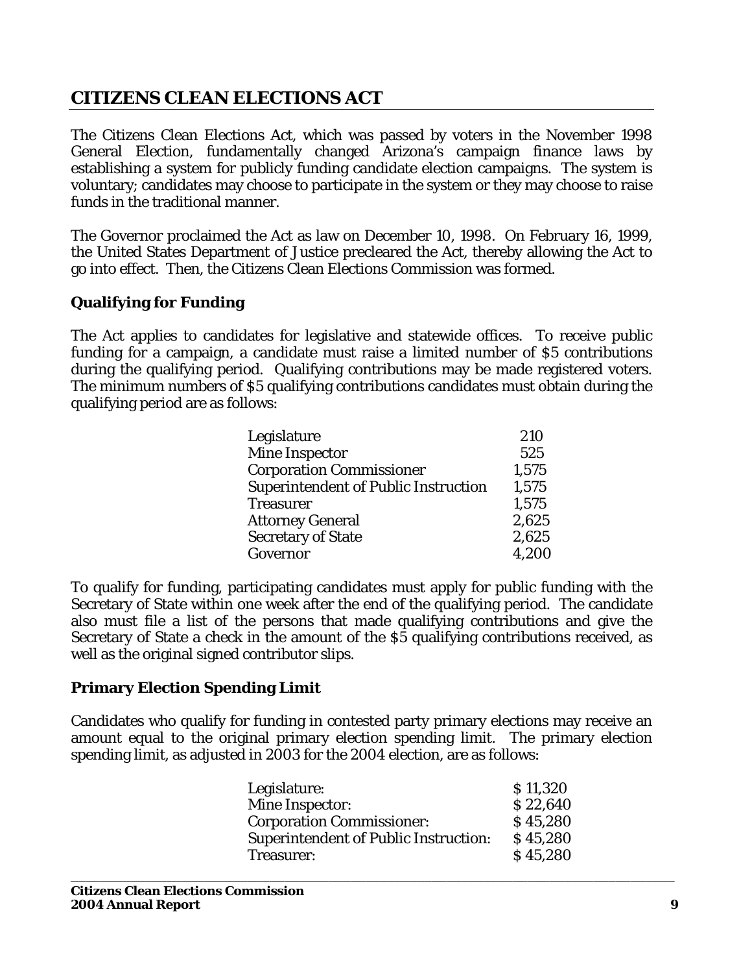## <span id="page-8-0"></span>**CITIZENS CLEAN ELECTIONS ACT**

The Citizens Clean Elections Act, which was passed by voters in the November 1998 General Election, fundamentally changed Arizona's campaign finance laws by establishing a system for publicly funding candidate election campaigns. The system is voluntary; candidates may choose to participate in the system or they may choose to raise funds in the traditional manner.

The Governor proclaimed the Act as law on December 10, 1998. On February 16, 1999, the United States Department of Justice precleared the Act, thereby allowing the Act to go into effect. Then, the Citizens Clean Elections Commission was formed.

## **Qualifying for Funding**

The Act applies to candidates for legislative and statewide offices. To receive public funding for a campaign, a candidate must raise a limited number of \$5 contributions during the qualifying period. Qualifying contributions may be made registered voters. The minimum numbers of \$5 qualifying contributions candidates must obtain during the qualifying period are as follows:

| Legislature                                 | 210   |
|---------------------------------------------|-------|
| <b>Mine Inspector</b>                       | 525   |
| <b>Corporation Commissioner</b>             | 1,575 |
| <b>Superintendent of Public Instruction</b> | 1,575 |
| <b>Treasurer</b>                            | 1,575 |
| <b>Attorney General</b>                     | 2,625 |
| <b>Secretary of State</b>                   | 2,625 |
| Governor                                    | 4,200 |

To qualify for funding, participating candidates must apply for public funding with the Secretary of State within one week after the end of the qualifying period. The candidate also must file a list of the persons that made qualifying contributions and give the Secretary of State a check in the amount of the \$5 qualifying contributions received, as well as the original signed contributor slips.

## **Primary Election Spending Limit**

Candidates who qualify for funding in contested party primary elections may receive an amount equal to the original primary election spending limit. The primary election spending limit, as adjusted in 2003 for the 2004 election, are as follows:

| \$11,320 |
|----------|
| \$22,640 |
| \$45,280 |
| \$45,280 |
| \$45,280 |
|          |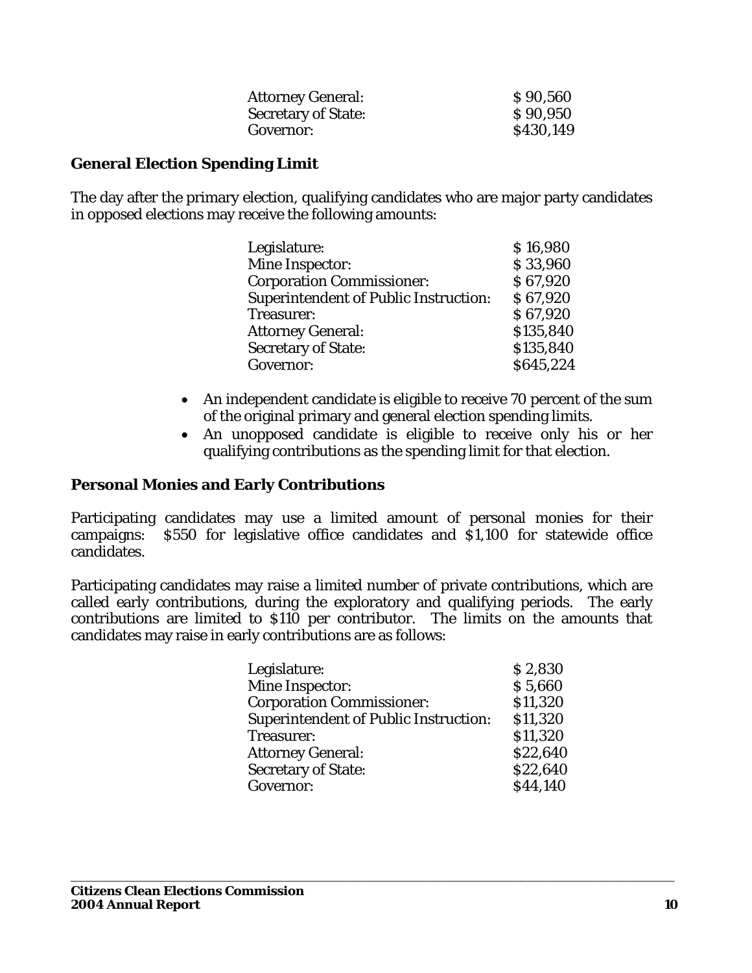<span id="page-9-0"></span>

| <b>Attorney General:</b>   | \$90,560  |
|----------------------------|-----------|
| <b>Secretary of State:</b> | \$90,950  |
| Governor:                  | \$430,149 |

#### **General Election Spending Limit**

The day after the primary election, qualifying candidates who are major party candidates in opposed elections may receive the following amounts:

| Legislature:                                 | \$16,980  |
|----------------------------------------------|-----------|
| Mine Inspector:                              | \$33,960  |
| <b>Corporation Commissioner:</b>             | \$67,920  |
| <b>Superintendent of Public Instruction:</b> | \$67,920  |
| Treasurer:                                   | \$67,920  |
| <b>Attorney General:</b>                     | \$135,840 |
| <b>Secretary of State:</b>                   | \$135,840 |
| Governor:                                    | \$645,224 |

- An independent candidate is eligible to receive 70 percent of the sum of the original primary and general election spending limits.
- An unopposed candidate is eligible to receive only his or her qualifying contributions as the spending limit for that election.

#### **Personal Monies and Early Contributions**

Participating candidates may use a limited amount of personal monies for their campaigns: \$550 for legislative office candidates and \$1,100 for statewide office candidates.

Participating candidates may raise a limited number of private contributions, which are called early contributions, during the exploratory and qualifying periods. The early contributions are limited to \$110 per contributor. The limits on the amounts that candidates may raise in early contributions are as follows:

| \$2,830  |
|----------|
| \$5,660  |
| \$11,320 |
| \$11,320 |
| \$11,320 |
| \$22,640 |
| \$22,640 |
| \$44,140 |
|          |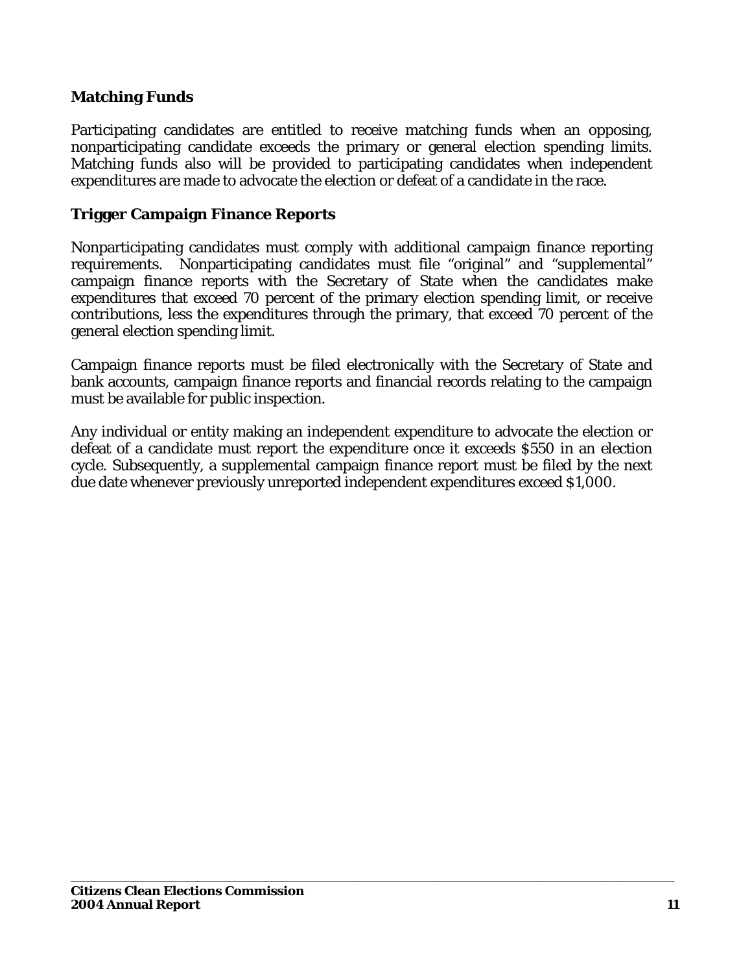### <span id="page-10-0"></span>**Matching Funds**

Participating candidates are entitled to receive matching funds when an opposing, nonparticipating candidate exceeds the primary or general election spending limits. Matching funds also will be provided to participating candidates when independent expenditures are made to advocate the election or defeat of a candidate in the race.

#### **Trigger Campaign Finance Reports**

Nonparticipating candidates must comply with additional campaign finance reporting requirements. Nonparticipating candidates must file "original" and "supplemental" campaign finance reports with the Secretary of State when the candidates make expenditures that exceed 70 percent of the primary election spending limit, or receive contributions, less the expenditures through the primary, that exceed 70 percent of the general election spending limit.

Campaign finance reports must be filed electronically with the Secretary of State and bank accounts, campaign finance reports and financial records relating to the campaign must be available for public inspection.

Any individual or entity making an independent expenditure to advocate the election or defeat of a candidate must report the expenditure once it exceeds \$550 in an election cycle. Subsequently, a supplemental campaign finance report must be filed by the next due date whenever previously unreported independent expenditures exceed \$1,000.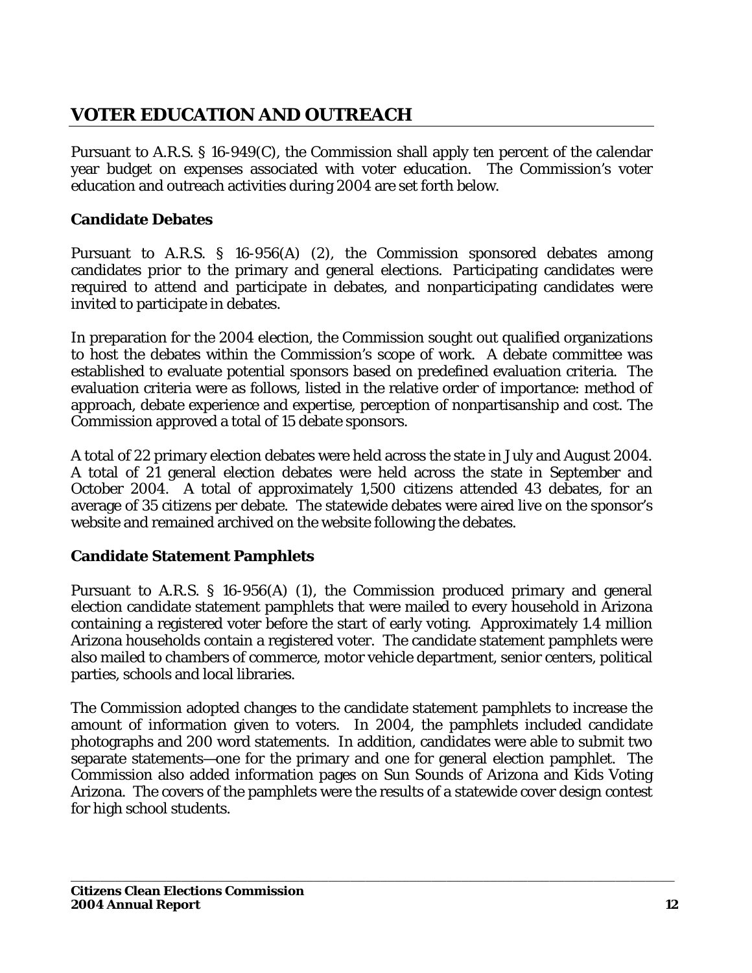## <span id="page-11-0"></span>**VOTER EDUCATION AND OUTREACH**

Pursuant to A.R.S. § 16-949(C), the Commission shall apply ten percent of the calendar year budget on expenses associated with voter education. The Commission's voter education and outreach activities during 2004 are set forth below.

### **Candidate Debates**

Pursuant to A.R.S. § 16-956(A) (2), the Commission sponsored debates among candidates prior to the primary and general elections. Participating candidates were required to attend and participate in debates, and nonparticipating candidates were invited to participate in debates.

In preparation for the 2004 election, the Commission sought out qualified organizations to host the debates within the Commission's scope of work. A debate committee was established to evaluate potential sponsors based on predefined evaluation criteria. The evaluation criteria were as follows, listed in the relative order of importance: method of approach, debate experience and expertise, perception of nonpartisanship and cost. The Commission approved a total of 15 debate sponsors.

A total of 22 primary election debates were held across the state in July and August 2004. A total of 21 general election debates were held across the state in September and October 2004. A total of approximately 1,500 citizens attended 43 debates, for an average of 35 citizens per debate. The statewide debates were aired live on the sponsor's website and remained archived on the website following the debates.

## **Candidate Statement Pamphlets**

Pursuant to A.R.S. § 16-956(A) (1), the Commission produced primary and general election candidate statement pamphlets that were mailed to every household in Arizona containing a registered voter before the start of early voting. Approximately 1.4 million Arizona households contain a registered voter. The candidate statement pamphlets were also mailed to chambers of commerce, motor vehicle department, senior centers, political parties, schools and local libraries.

The Commission adopted changes to the candidate statement pamphlets to increase the amount of information given to voters. In 2004, the pamphlets included candidate photographs and 200 word statements. In addition, candidates were able to submit two separate statements—one for the primary and one for general election pamphlet. The Commission also added information pages on Sun Sounds of Arizona and Kids Voting Arizona. The covers of the pamphlets were the results of a statewide cover design contest for high school students.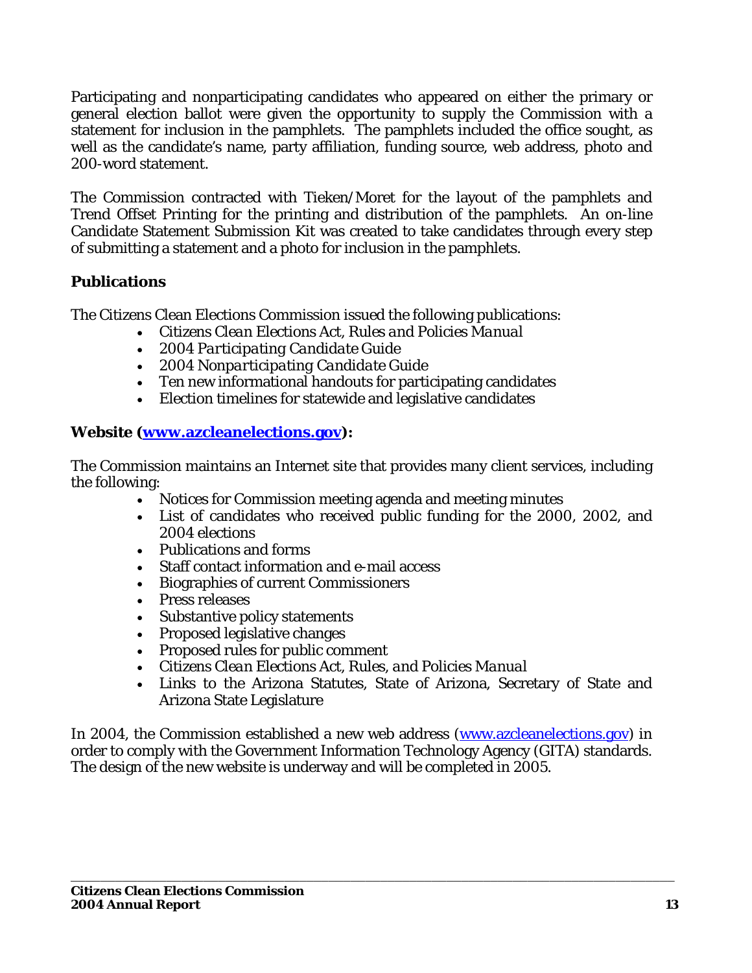<span id="page-12-0"></span>Participating and nonparticipating candidates who appeared on either the primary or general election ballot were given the opportunity to supply the Commission with a statement for inclusion in the pamphlets. The pamphlets included the office sought, as well as the candidate's name, party affiliation, funding source, web address, photo and 200-word statement.

The Commission contracted with Tieken/Moret for the layout of the pamphlets and Trend Offset Printing for the printing and distribution of the pamphlets. An on-line Candidate Statement Submission Kit was created to take candidates through every step of submitting a statement and a photo for inclusion in the pamphlets.

## **Publications**

The Citizens Clean Elections Commission issued the following publications:

- *Citizens Clean Elections Act, Rules and Policies Manual*
- *2004 Participating Candidate Guide*
- *2004 Nonparticipating Candidate Guide*
- Ten new informational handouts for participating candidates
- Election timelines for statewide and legislative candidates

## **Website [\(www.azcleanelections.gov\)](http://www.azcleanelections.gov/):**

The Commission maintains an Internet site that provides many client services, including the following:

- Notices for Commission meeting agenda and meeting minutes
- List of candidates who received public funding for the 2000, 2002, and 2004 elections
- Publications and forms
- Staff contact information and e-mail access
- Biographies of current Commissioners
- Press releases
- Substantive policy statements
- Proposed legislative changes
- Proposed rules for public comment
- *Citizens Clean Elections Act, Rules, and Policies Manual*
- Links to the Arizona Statutes, State of Arizona, Secretary of State and Arizona State Legislature

In 2004, the Commission established a new web address [\(www.azcleanelections.gov\)](http://www.azcleanelections.gov/) in order to comply with the Government Information Technology Agency (GITA) standards. The design of the new website is underway and will be completed in 2005.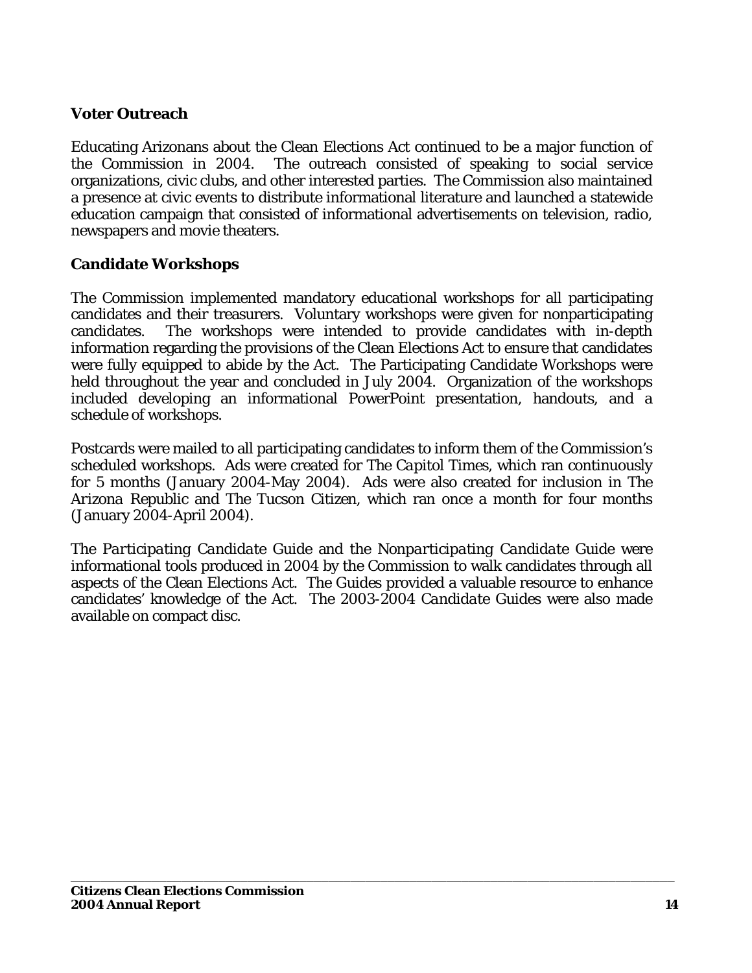## <span id="page-13-0"></span>**Voter Outreach**

Educating Arizonans about the Clean Elections Act continued to be a major function of the Commission in 2004. The outreach consisted of speaking to social service organizations, civic clubs, and other interested parties. The Commission also maintained a presence at civic events to distribute informational literature and launched a statewide education campaign that consisted of informational advertisements on television, radio, newspapers and movie theaters.

#### **Candidate Workshops**

The Commission implemented mandatory educational workshops for all participating candidates and their treasurers. Voluntary workshops were given for nonparticipating candidates. The workshops were intended to provide candidates with in-depth information regarding the provisions of the Clean Elections Act to ensure that candidates were fully equipped to abide by the Act. The Participating Candidate Workshops were held throughout the year and concluded in July 2004. Organization of the workshops included developing an informational PowerPoint presentation, handouts, and a schedule of workshops.

Postcards were mailed to all participating candidates to inform them of the Commission's scheduled workshops. Ads were created for *The Capitol Times*, which ran continuously for 5 months (January 2004-May 2004). Ads were also created for inclusion in *The Arizona Republic* and *The Tucson Citizen*, which ran once a month for four months (January 2004-April 2004).

The *Participating Candidate Guide* and the *Nonparticipating Candidate Guide* were informational tools produced in 2004 by the Commission to walk candidates through all aspects of the Clean Elections Act. The G*uides* provided a valuable resource to enhance candidates' knowledge of the Act. The 2003-2004 *Candidate Guides* were also made available on compact disc.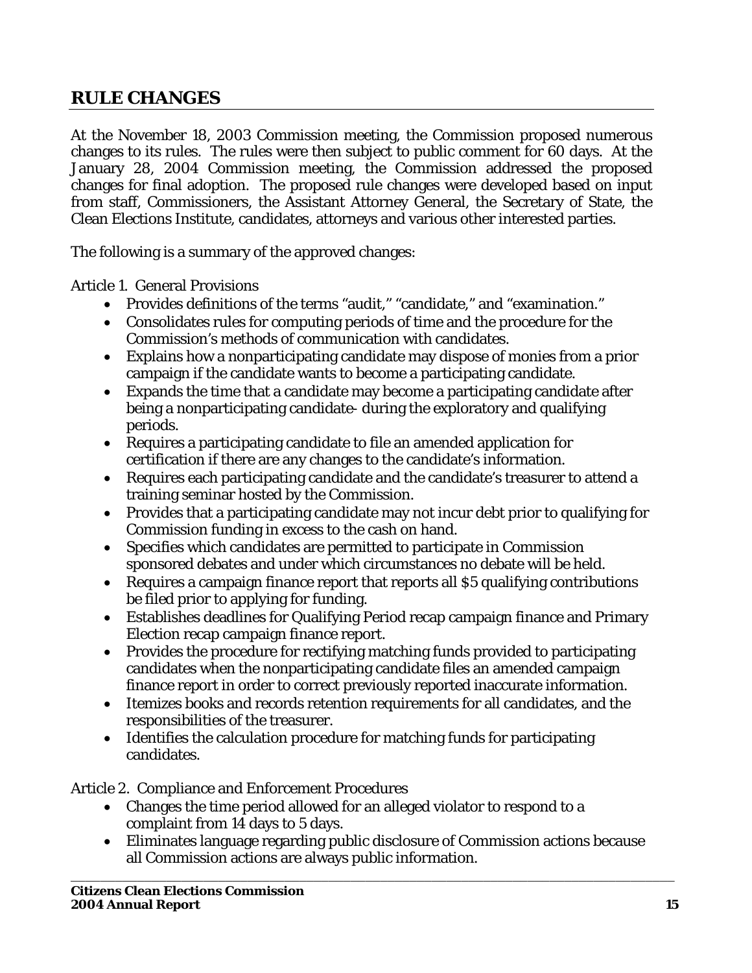## <span id="page-14-0"></span>**RULE CHANGES**

At the November 18, 2003 Commission meeting, the Commission proposed numerous changes to its rules. The rules were then subject to public comment for 60 days. At the January 28, 2004 Commission meeting, the Commission addressed the proposed changes for final adoption. The proposed rule changes were developed based on input from staff, Commissioners, the Assistant Attorney General, the Secretary of State, the Clean Elections Institute, candidates, attorneys and various other interested parties.

The following is a summary of the approved changes:

Article 1. General Provisions

- Provides definitions of the terms "audit," "candidate," and "examination."
- Consolidates rules for computing periods of time and the procedure for the Commission's methods of communication with candidates.
- Explains how a nonparticipating candidate may dispose of monies from a prior campaign if the candidate wants to become a participating candidate.
- Expands the time that a candidate may become a participating candidate after being a nonparticipating candidate- during the exploratory and qualifying periods.
- Requires a participating candidate to file an amended application for certification if there are any changes to the candidate's information.
- Requires each participating candidate and the candidate's treasurer to attend a training seminar hosted by the Commission.
- Provides that a participating candidate may not incur debt prior to qualifying for Commission funding in excess to the cash on hand.
- Specifies which candidates are permitted to participate in Commission sponsored debates and under which circumstances no debate will be held.
- Requires a campaign finance report that reports all \$5 qualifying contributions be filed prior to applying for funding.
- Establishes deadlines for Qualifying Period recap campaign finance and Primary Election recap campaign finance report.
- Provides the procedure for rectifying matching funds provided to participating candidates when the nonparticipating candidate files an amended campaign finance report in order to correct previously reported inaccurate information.
- Itemizes books and records retention requirements for all candidates, and the responsibilities of the treasurer.
- Identifies the calculation procedure for matching funds for participating candidates.

Article 2. Compliance and Enforcement Procedures

- Changes the time period allowed for an alleged violator to respond to a complaint from 14 days to 5 days.
- Eliminates language regarding public disclosure of Commission actions because all Commission actions are always public information.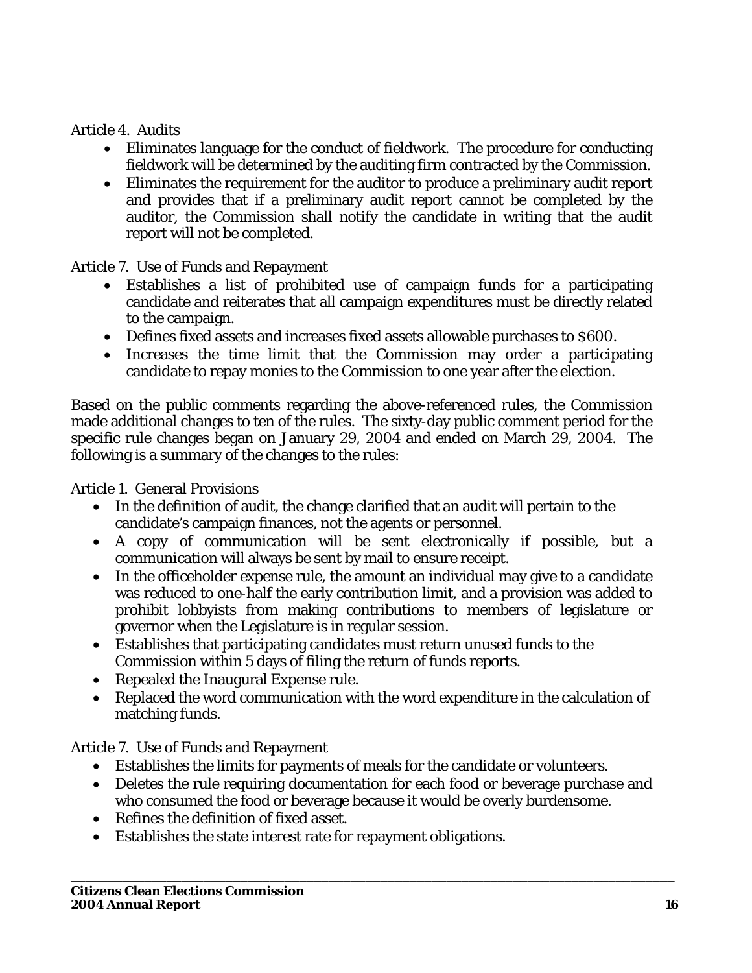### Article 4. Audits

- Eliminates language for the conduct of fieldwork. The procedure for conducting fieldwork will be determined by the auditing firm contracted by the Commission.
- Eliminates the requirement for the auditor to produce a preliminary audit report and provides that if a preliminary audit report cannot be completed by the auditor, the Commission shall notify the candidate in writing that the audit report will not be completed.

Article 7. Use of Funds and Repayment

- Establishes a list of prohibited use of campaign funds for a participating candidate and reiterates that all campaign expenditures must be directly related to the campaign.
- Defines fixed assets and increases fixed assets allowable purchases to \$600.
- Increases the time limit that the Commission may order a participating candidate to repay monies to the Commission to one year after the election.

Based on the public comments regarding the above-referenced rules, the Commission made additional changes to ten of the rules. The sixty-day public comment period for the specific rule changes began on January 29, 2004 and ended on March 29, 2004. The following is a summary of the changes to the rules:

Article 1. General Provisions

- In the definition of audit, the change clarified that an audit will pertain to the candidate's campaign finances, not the agents or personnel.
- A copy of communication will be sent electronically if possible, but a communication will always be sent by mail to ensure receipt.
- In the officeholder expense rule, the amount an individual may give to a candidate was reduced to one-half the early contribution limit, and a provision was added to prohibit lobbyists from making contributions to members of legislature or governor when the Legislature is in regular session.
- Establishes that participating candidates must return unused funds to the Commission within 5 days of filing the return of funds reports.
- Repealed the Inaugural Expense rule.
- Replaced the word communication with the word expenditure in the calculation of matching funds.

Article 7. Use of Funds and Repayment

- Establishes the limits for payments of meals for the candidate or volunteers.
- Deletes the rule requiring documentation for each food or beverage purchase and who consumed the food or beverage because it would be overly burdensome.
- Refines the definition of fixed asset.
- Establishes the state interest rate for repayment obligations.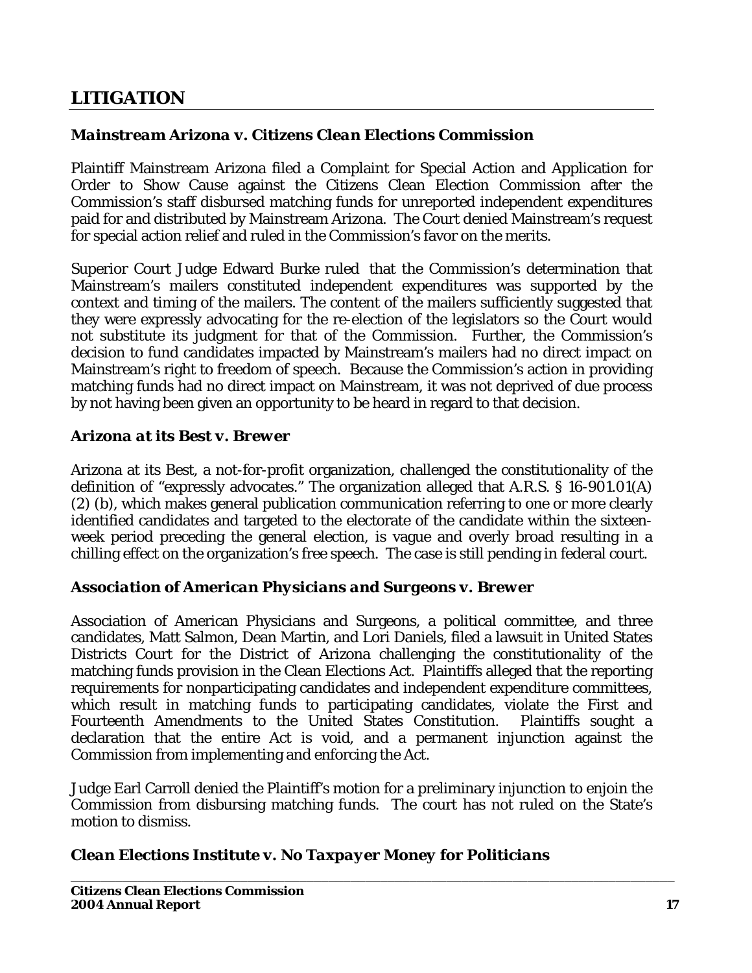## <span id="page-16-0"></span>**LITIGATION**

#### *Mainstream Arizona v. Citizens Clean Elections Commission*

Plaintiff Mainstream Arizona filed a Complaint for Special Action and Application for Order to Show Cause against the Citizens Clean Election Commission after the Commission's staff disbursed matching funds for unreported independent expenditures paid for and distributed by Mainstream Arizona. The Court denied Mainstream's request for special action relief and ruled in the Commission's favor on the merits.

Superior Court Judge Edward Burke ruled that the Commission's determination that Mainstream's mailers constituted independent expenditures was supported by the context and timing of the mailers. The content of the mailers sufficiently suggested that they were expressly advocating for the re-election of the legislators so the Court would not substitute its judgment for that of the Commission. Further, the Commission's decision to fund candidates impacted by Mainstream's mailers had no direct impact on Mainstream's right to freedom of speech. Because the Commission's action in providing matching funds had no direct impact on Mainstream, it was not deprived of due process by not having been given an opportunity to be heard in regard to that decision.

#### *Arizona at its Best v. Brewer*

Arizona at its Best, a not-for-profit organization, challenged the constitutionality of the definition of "expressly advocates." The organization alleged that A.R.S. § 16-901.01(A) (2) (b), which makes general publication communication referring to one or more clearly identified candidates and targeted to the electorate of the candidate within the sixteenweek period preceding the general election, is vague and overly broad resulting in a chilling effect on the organization's free speech. The case is still pending in federal court.

#### *Association of American Physicians and Surgeons v. Brewer*

Association of American Physicians and Surgeons, a political committee, and three candidates, Matt Salmon, Dean Martin, and Lori Daniels, filed a lawsuit in United States Districts Court for the District of Arizona challenging the constitutionality of the matching funds provision in the Clean Elections Act. Plaintiffs alleged that the reporting requirements for nonparticipating candidates and independent expenditure committees, which result in matching funds to participating candidates, violate the First and Fourteenth Amendments to the United States Constitution. Plaintiffs sought a declaration that the entire Act is void, and a permanent injunction against the Commission from implementing and enforcing the Act.

Judge Earl Carroll denied the Plaintiff's motion for a preliminary injunction to enjoin the Commission from disbursing matching funds. The court has not ruled on the State's motion to dismiss.

\_\_\_\_\_\_\_\_\_\_\_\_\_\_\_\_\_\_\_\_\_\_\_\_\_\_\_\_\_\_\_\_\_\_\_\_\_\_\_\_\_\_\_\_\_\_\_\_\_\_\_\_\_\_\_\_\_\_\_\_\_\_\_\_\_\_\_\_\_\_\_\_\_\_\_\_\_\_\_\_\_\_

#### *Clean Elections Institute v. No Taxpayer Money for Politicians*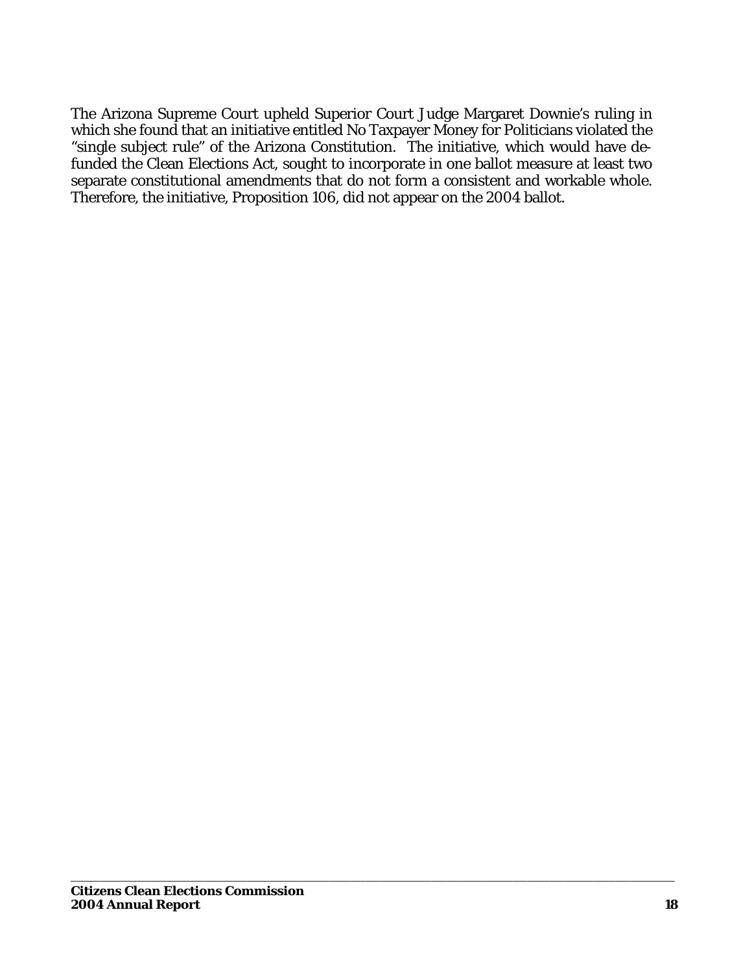The Arizona Supreme Court upheld Superior Court Judge Margaret Downie's ruling in which she found that an initiative entitled No Taxpayer Money for Politicians violated the "single subject rule" of the Arizona Constitution. The initiative, which would have defunded the Clean Elections Act, sought to incorporate in one ballot measure at least two separate constitutional amendments that do not form a consistent and workable whole. Therefore, the initiative, Proposition 106, did not appear on the 2004 ballot.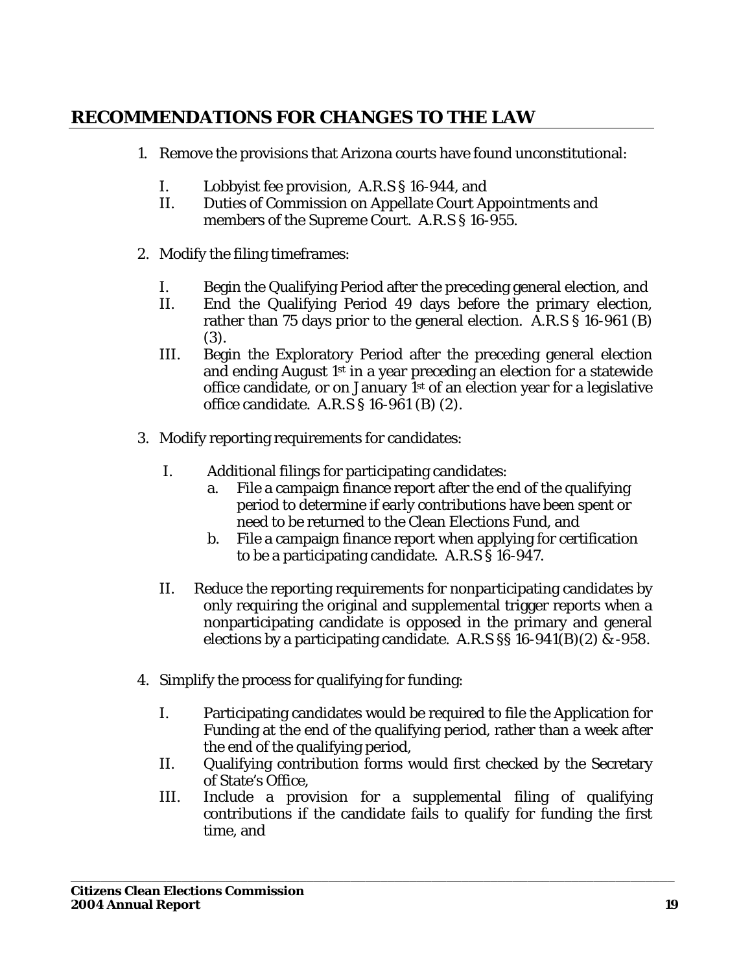## <span id="page-18-0"></span>**RECOMMENDATIONS FOR CHANGES TO THE LAW**

- 1. Remove the provisions that Arizona courts have found unconstitutional:
	- I. Lobbyist fee provision, A.R.S § 16-944, and
	- II. Duties of Commission on Appellate Court Appointments and members of the Supreme Court. A.R.S § 16-955.
- 2. Modify the filing timeframes:
	- I. Begin the Qualifying Period after the preceding general election, and
	- II. End the Qualifying Period 49 days before the primary election, rather than 75 days prior to the general election. A.R.S § 16-961 (B) (3).
	- III. Begin the Exploratory Period after the preceding general election and ending August 1st in a year preceding an election for a statewide office candidate, or on January 1st of an election year for a legislative office candidate. A.R.S § 16-961 (B) (2).
- 3. Modify reporting requirements for candidates:
	- I. Additional filings for participating candidates:
		- a. File a campaign finance report after the end of the qualifying period to determine if early contributions have been spent or need to be returned to the Clean Elections Fund, and
		- b. File a campaign finance report when applying for certification to be a participating candidate. A.R.S § 16-947.
	- II. Reduce the reporting requirements for nonparticipating candidates by only requiring the original and supplemental trigger reports when a nonparticipating candidate is opposed in the primary and general elections by a participating candidate. A.R.S  $\S$ § 16-941(B)(2) & -958.
- 4. Simplify the process for qualifying for funding:
	- I. Participating candidates would be required to file the Application for Funding at the end of the qualifying period, rather than a week after the end of the qualifying period,
	- II. Qualifying contribution forms would first checked by the Secretary of State's Office,
	- III. Include a provision for a supplemental filing of qualifying contributions if the candidate fails to qualify for funding the first time, and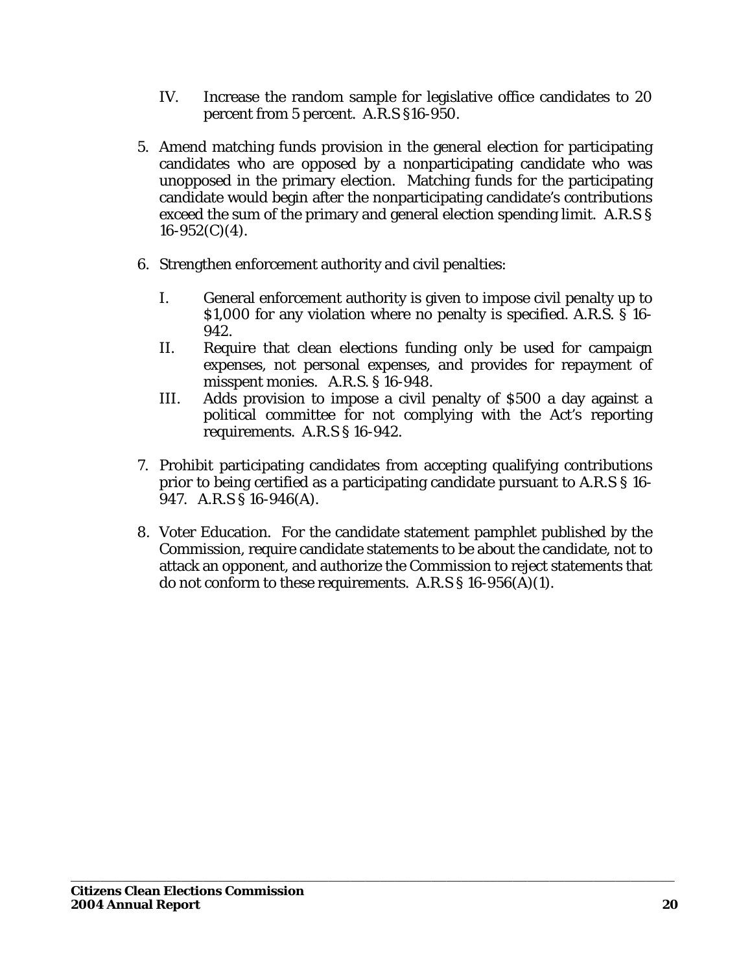- IV. Increase the random sample for legislative office candidates to 20 percent from 5 percent. A.R.S §16-950.
- 5. Amend matching funds provision in the general election for participating candidates who are opposed by a nonparticipating candidate who was unopposed in the primary election. Matching funds for the participating candidate would begin after the nonparticipating candidate's contributions exceed the sum of the primary and general election spending limit. A.R.S §  $16-952(C)(4)$ .
- 6. Strengthen enforcement authority and civil penalties:
	- I. General enforcement authority is given to impose civil penalty up to \$1,000 for any violation where no penalty is specified. A.R.S. § 16- 942.
	- II. Require that clean elections funding only be used for campaign expenses, not personal expenses, and provides for repayment of misspent monies. A.R.S. § 16-948.
	- III. Adds provision to impose a civil penalty of \$500 a day against a political committee for not complying with the Act's reporting requirements. A.R.S § 16-942.
- 7. Prohibit participating candidates from accepting qualifying contributions prior to being certified as a participating candidate pursuant to A.R.S § 16- 947. A.R.S § 16-946(A).
- 8. Voter Education. For the candidate statement pamphlet published by the Commission, require candidate statements to be about the candidate, not to attack an opponent, and authorize the Commission to reject statements that do not conform to these requirements. A.R.S  $\S 16-956(A)(1)$ .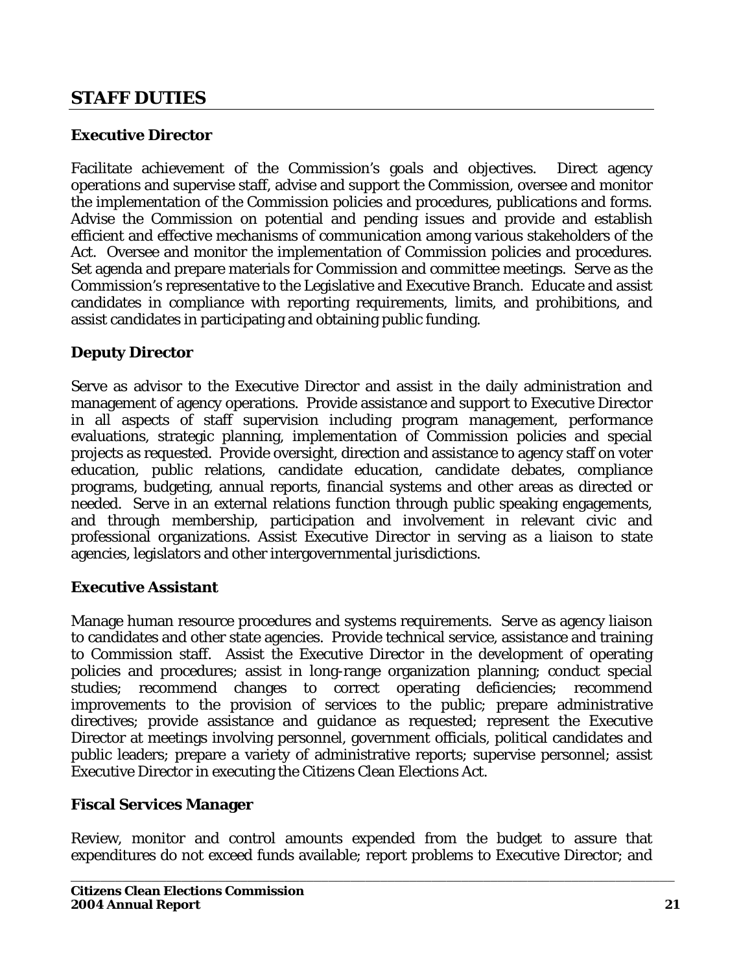## <span id="page-20-0"></span>**STAFF DUTIES**

#### **Executive Director**

Facilitate achievement of the Commission's goals and objectives. Direct agency operations and supervise staff, advise and support the Commission, oversee and monitor the implementation of the Commission policies and procedures, publications and forms. Advise the Commission on potential and pending issues and provide and establish efficient and effective mechanisms of communication among various stakeholders of the Act. Oversee and monitor the implementation of Commission policies and procedures. Set agenda and prepare materials for Commission and committee meetings. Serve as the Commission's representative to the Legislative and Executive Branch. Educate and assist candidates in compliance with reporting requirements, limits, and prohibitions, and assist candidates in participating and obtaining public funding.

#### **Deputy Director**

Serve as advisor to the Executive Director and assist in the daily administration and management of agency operations. Provide assistance and support to Executive Director in all aspects of staff supervision including program management, performance evaluations, strategic planning, implementation of Commission policies and special projects as requested. Provide oversight, direction and assistance to agency staff on voter education, public relations, candidate education, candidate debates, compliance programs, budgeting, annual reports, financial systems and other areas as directed or needed. Serve in an external relations function through public speaking engagements, and through membership, participation and involvement in relevant civic and professional organizations. Assist Executive Director in serving as a liaison to state agencies, legislators and other intergovernmental jurisdictions.

#### **Executive Assistant**

Manage human resource procedures and systems requirements. Serve as agency liaison to candidates and other state agencies. Provide technical service, assistance and training to Commission staff. Assist the Executive Director in the development of operating policies and procedures; assist in long-range organization planning; conduct special studies; recommend changes to correct operating deficiencies; recommend improvements to the provision of services to the public; prepare administrative directives; provide assistance and guidance as requested; represent the Executive Director at meetings involving personnel, government officials, political candidates and public leaders; prepare a variety of administrative reports; supervise personnel; assist Executive Director in executing the Citizens Clean Elections Act.

#### **Fiscal Services Manager**

Review, monitor and control amounts expended from the budget to assure that expenditures do not exceed funds available; report problems to Executive Director; and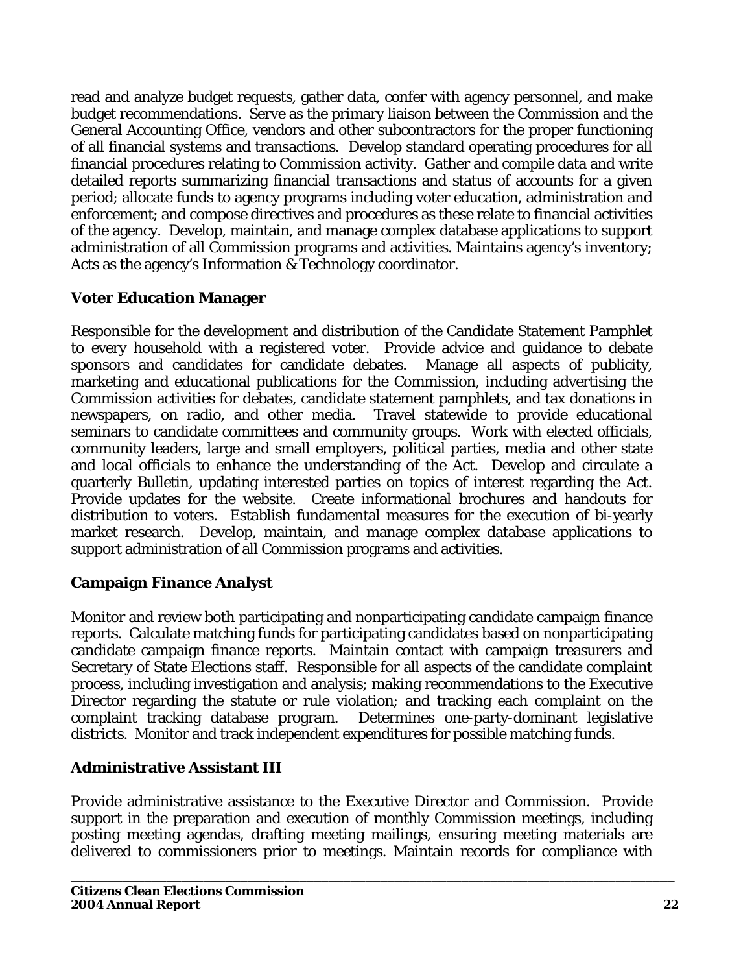read and analyze budget requests, gather data, confer with agency personnel, and make budget recommendations. Serve as the primary liaison between the Commission and the General Accounting Office, vendors and other subcontractors for the proper functioning of all financial systems and transactions. Develop standard operating procedures for all financial procedures relating to Commission activity. Gather and compile data and write detailed reports summarizing financial transactions and status of accounts for a given period; allocate funds to agency programs including voter education, administration and enforcement; and compose directives and procedures as these relate to financial activities of the agency. Develop, maintain, and manage complex database applications to support administration of all Commission programs and activities. Maintains agency's inventory; Acts as the agency's Information & Technology coordinator.

## **Voter Education Manager**

Responsible for the development and distribution of the Candidate Statement Pamphlet to every household with a registered voter. Provide advice and guidance to debate sponsors and candidates for candidate debates. Manage all aspects of publicity, marketing and educational publications for the Commission, including advertising the Commission activities for debates, candidate statement pamphlets, and tax donations in newspapers, on radio, and other media. Travel statewide to provide educational seminars to candidate committees and community groups. Work with elected officials, community leaders, large and small employers, political parties, media and other state and local officials to enhance the understanding of the Act. Develop and circulate a quarterly *Bulletin*, updating interested parties on topics of interest regarding the Act. Provide updates for the website. Create informational brochures and handouts for distribution to voters. Establish fundamental measures for the execution of bi-yearly market research. Develop, maintain, and manage complex database applications to support administration of all Commission programs and activities.

## **Campaign Finance Analyst**

Monitor and review both participating and nonparticipating candidate campaign finance reports. Calculate matching funds for participating candidates based on nonparticipating candidate campaign finance reports. Maintain contact with campaign treasurers and Secretary of State Elections staff. Responsible for all aspects of the candidate complaint process, including investigation and analysis; making recommendations to the Executive Director regarding the statute or rule violation; and tracking each complaint on the complaint tracking database program. Determines one-party-dominant legislative districts. Monitor and track independent expenditures for possible matching funds.

## **Administrative Assistant III**

Provide administrative assistance to the Executive Director and Commission. Provide support in the preparation and execution of monthly Commission meetings, including posting meeting agendas, drafting meeting mailings, ensuring meeting materials are delivered to commissioners prior to meetings. Maintain records for compliance with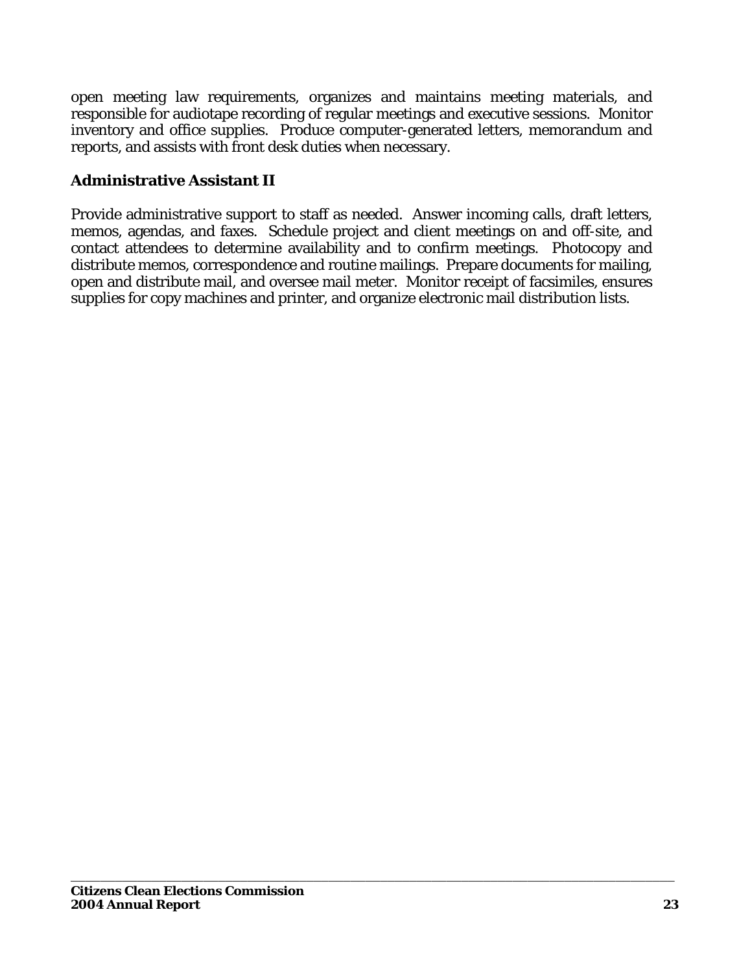open meeting law requirements, organizes and maintains meeting materials, and responsible for audiotape recording of regular meetings and executive sessions. Monitor inventory and office supplies. Produce computer-generated letters, memorandum and reports, and assists with front desk duties when necessary.

## **Administrative Assistant II**

Provide administrative support to staff as needed. Answer incoming calls, draft letters, memos, agendas, and faxes. Schedule project and client meetings on and off-site, and contact attendees to determine availability and to confirm meetings. Photocopy and distribute memos, correspondence and routine mailings. Prepare documents for mailing, open and distribute mail, and oversee mail meter. Monitor receipt of facsimiles, ensures supplies for copy machines and printer, and organize electronic mail distribution lists.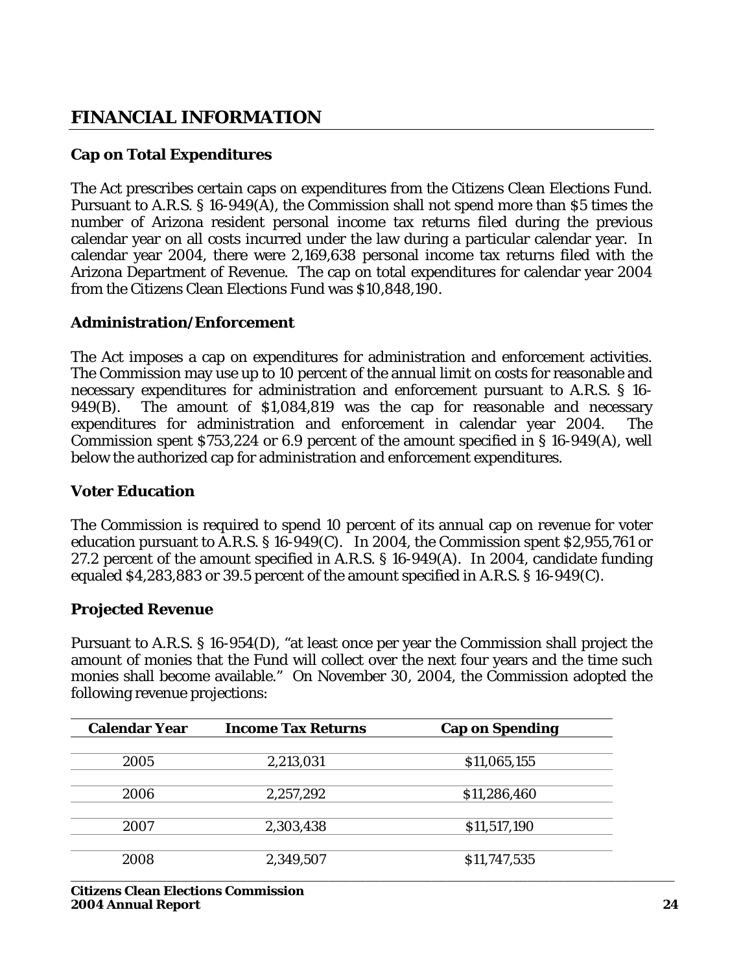## <span id="page-23-0"></span>**FINANCIAL INFORMATION**

### **Cap on Total Expenditures**

The Act prescribes certain caps on expenditures from the Citizens Clean Elections Fund. Pursuant to A.R.S. § 16-949(A), the Commission shall not spend more than \$5 times the number of Arizona resident personal income tax returns filed during the previous calendar year on all costs incurred under the law during a particular calendar year. In calendar year 2004, there were 2,169,638 personal income tax returns filed with the Arizona Department of Revenue. The cap on total expenditures for calendar year 2004 from the Citizens Clean Elections Fund was \$10,848,190.

#### **Administration/Enforcement**

The Act imposes a cap on expenditures for administration and enforcement activities. The Commission may use up to 10 percent of the annual limit on costs for reasonable and necessary expenditures for administration and enforcement pursuant to A.R.S. § 16- 949(B). The amount of \$1,084,819 was the cap for reasonable and necessary expenditures for administration and enforcement in calendar year 2004. The Commission spent \$753,224 or 6.9 percent of the amount specified in § 16-949(A), well below the authorized cap for administration and enforcement expenditures.

#### **Voter Education**

The Commission is required to spend 10 percent of its annual cap on revenue for voter education pursuant to A.R.S. § 16-949(C). In 2004, the Commission spent \$2,955,761 or 27.2 percent of the amount specified in A.R.S. § 16-949(A). In 2004, candidate funding equaled \$4,283,883 or 39.5 percent of the amount specified in A.R.S. § 16-949(C).

#### **Projected Revenue**

Pursuant to A.R.S. § 16-954(D), "at least once per year the Commission shall project the amount of monies that the Fund will collect over the next four years and the time such monies shall become available." On November 30, 2004, the Commission adopted the following revenue projections:

| <b>Calendar Year</b> | <b>Cap on Spending</b><br><b>Income Tax Returns</b> |              |  |  |
|----------------------|-----------------------------------------------------|--------------|--|--|
|                      |                                                     |              |  |  |
| 2005                 | 2,213,031                                           | \$11,065,155 |  |  |
|                      |                                                     |              |  |  |
| 2006                 | 2,257,292                                           | \$11,286,460 |  |  |
|                      |                                                     |              |  |  |
| 2007                 | 2,303,438                                           | \$11,517,190 |  |  |
|                      |                                                     |              |  |  |
| 2008                 | 2,349,507                                           | \$11,747,535 |  |  |
|                      |                                                     |              |  |  |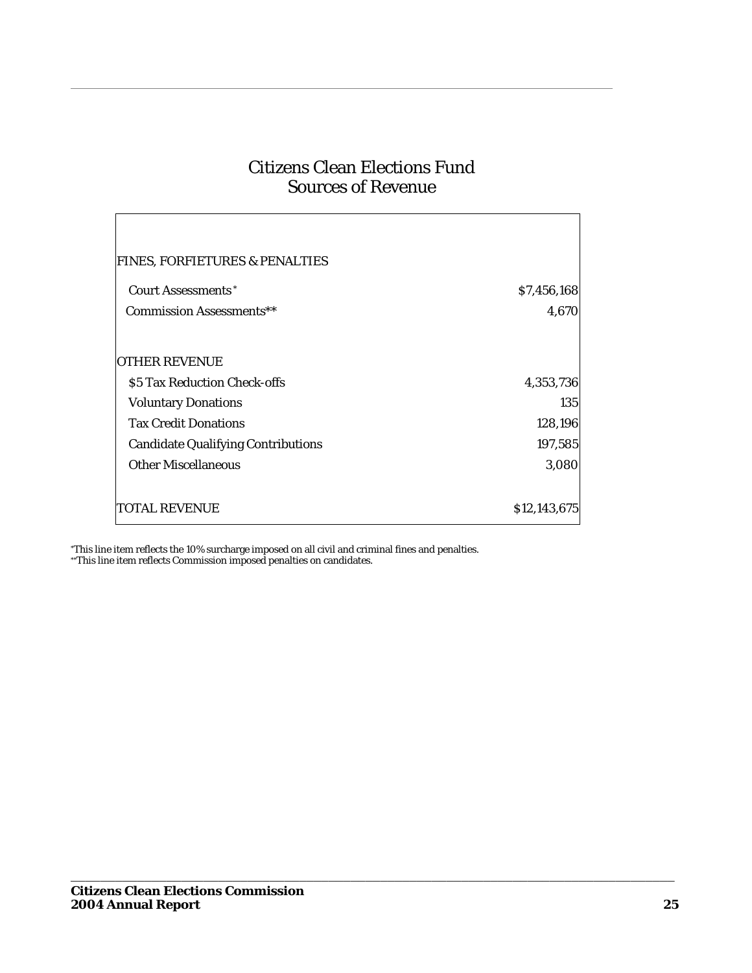## Citizens Clean Elections Fund Sources of Revenue

| <b>FINES, FORFIETURES &amp; PENALTIES</b>                  |                         |
|------------------------------------------------------------|-------------------------|
| <b>Court Assessments</b> *                                 | \$7,456,168             |
| <b>Commission Assessments**</b>                            | 4,670                   |
| <b>OTHER REVENUE</b>                                       |                         |
| \$5 Tax Reduction Check-offs<br><b>Voluntary Donations</b> | 4,353,736<br><b>135</b> |
| <b>Tax Credit Donations</b>                                | 128,196                 |
| <b>Candidate Qualifying Contributions</b>                  | 197,585                 |
| <b>Other Miscellaneous</b>                                 | 3,080                   |
| TOTAL REVENUE                                              | \$12,143,675            |

\_\_\_\_\_\_\_\_\_\_\_\_\_\_\_\_\_\_\_\_\_\_\_\_\_\_\_\_\_\_\_\_\_\_\_\_\_\_\_\_\_\_\_\_\_\_\_\_\_\_\_\_\_\_\_\_\_\_\_\_\_\_\_\_\_\_\_\_\_\_\_\_\_\_\_\_\_\_\_\_\_\_

\*This line item reflects the 10% surcharge imposed on all civil and criminal fines and penalties. \*\*This line item reflects Commission imposed penalties on candidates.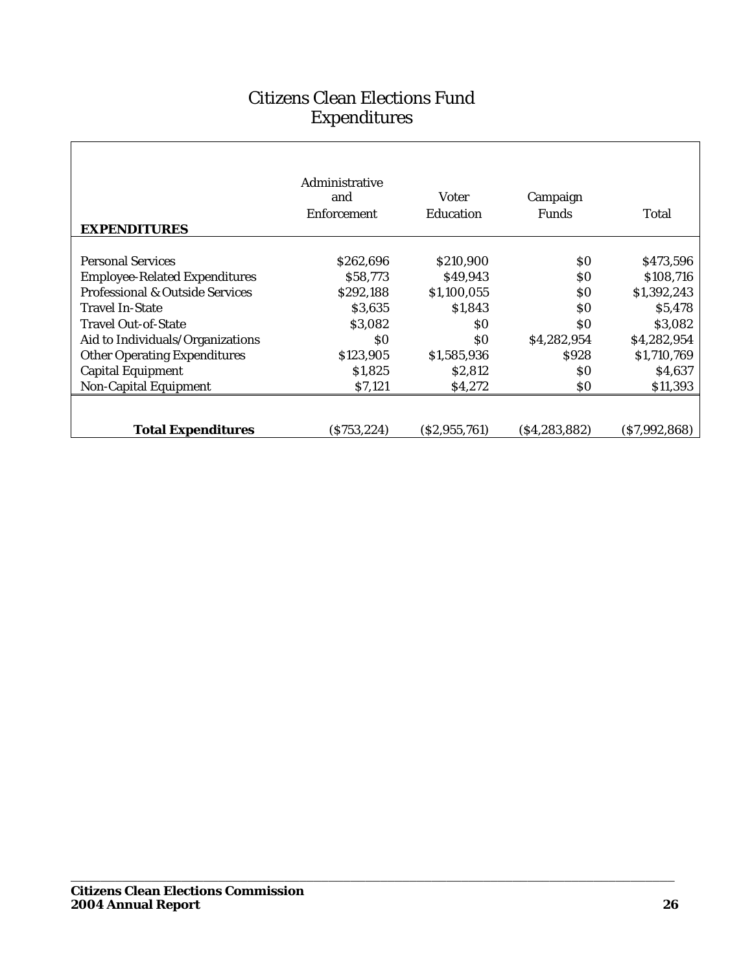## Citizens Clean Elections Fund Expenditures

| <b>EXPENDITURES</b>                        | Administrative<br>and<br><b>Enforcement</b> | <b>Voter</b><br>Education | Campaign<br><b>Funds</b> | Total        |
|--------------------------------------------|---------------------------------------------|---------------------------|--------------------------|--------------|
| <b>Personal Services</b>                   | \$262,696                                   | \$210,900                 | \$0                      | \$473,596    |
| <b>Employee-Related Expenditures</b>       | \$58,773                                    | \$49,943                  | \$0                      | \$108,716    |
| <b>Professional &amp; Outside Services</b> | \$292,188                                   | \$1,100,055               | \$0                      | \$1,392,243  |
| <b>Travel In-State</b>                     | \$3,635                                     | \$1,843                   | \$0                      | \$5,478      |
| <b>Travel Out-of-State</b>                 | \$3,082                                     | SO.                       | SO.                      | \$3,082      |
| Aid to Individuals/Organizations           | \$0                                         | 80                        | \$4,282,954              | \$4,282,954  |
| <b>Other Operating Expenditures</b>        | \$123,905                                   | \$1,585,936               | \$928                    | \$1,710,769  |
| <b>Capital Equipment</b>                   | \$1,825                                     | \$2,812                   | \$0                      | \$4,637      |
| <b>Non-Capital Equipment</b>               | \$7,121                                     | \$4,272                   | \$0                      | \$11,393     |
|                                            |                                             |                           |                          |              |
| <b>Total Expenditures</b>                  | (\$753,224)                                 | (S2, 955, 761)            | (\$4,283,882)            | (S7,992,868) |

\_\_\_\_\_\_\_\_\_\_\_\_\_\_\_\_\_\_\_\_\_\_\_\_\_\_\_\_\_\_\_\_\_\_\_\_\_\_\_\_\_\_\_\_\_\_\_\_\_\_\_\_\_\_\_\_\_\_\_\_\_\_\_\_\_\_\_\_\_\_\_\_\_\_\_\_\_\_\_\_\_\_

 $\lceil$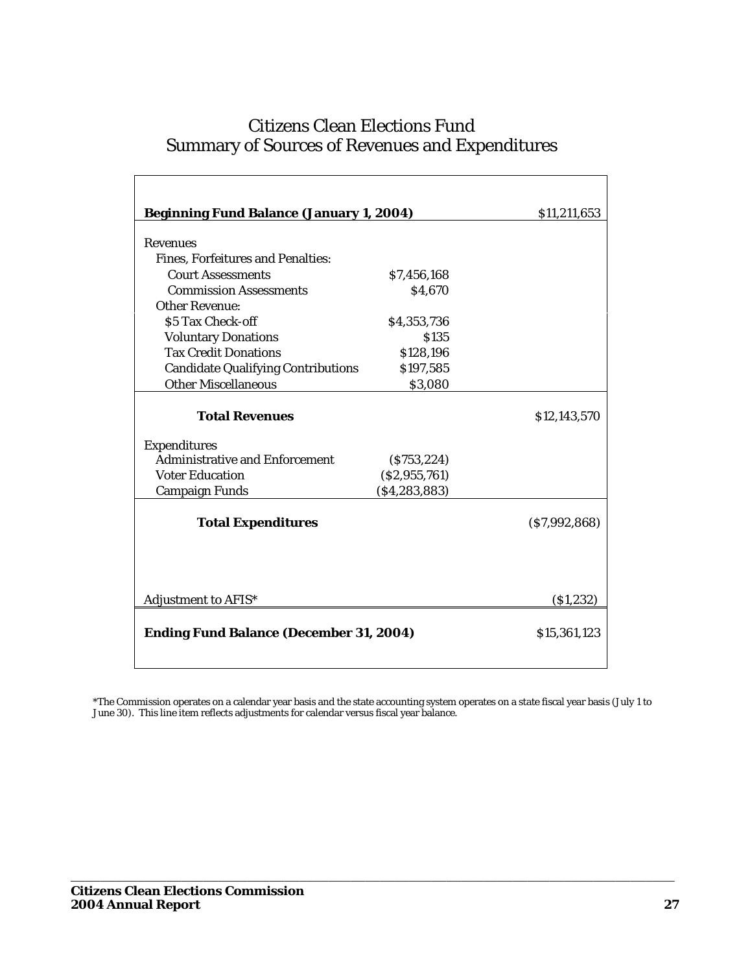## Citizens Clean Elections Fund Summary of Sources of Revenues and Expenditures

| <b>Beginning Fund Balance (January 1, 2004)</b>       |                               | \$11,211,653   |
|-------------------------------------------------------|-------------------------------|----------------|
| <b>Revenues</b>                                       |                               |                |
| <b>Fines, Forfeitures and Penalties:</b>              |                               |                |
| <b>Court Assessments</b>                              | \$7,456,168                   |                |
| <b>Commission Assessments</b>                         | \$4,670                       |                |
| <b>Other Revenue:</b>                                 |                               |                |
| \$5 Tax Check-off                                     | \$4,353,736                   |                |
| <b>Voluntary Donations</b>                            | <b>S135</b>                   |                |
| <b>Tax Credit Donations</b>                           | \$128,196                     |                |
| <b>Candidate Qualifying Contributions</b>             | \$197,585                     |                |
| <b>Other Miscellaneous</b>                            | \$3,080                       |                |
| <b>Total Revenues</b>                                 |                               | \$12,143,570   |
| <b>Expenditures</b><br>Administrative and Enforcement |                               |                |
| <b>Voter Education</b>                                | (S753, 224)<br>(S2, 955, 761) |                |
| <b>Campaign Funds</b>                                 | ( \$4, 283, 883)              |                |
|                                                       |                               |                |
| <b>Total Expenditures</b>                             |                               | (S7, 992, 868) |
| Adjustment to AFIS*                                   |                               | (51, 232)      |
| <b>Ending Fund Balance (December 31, 2004)</b>        |                               | \$15,361,123   |

\*The Commission operates on a calendar year basis and the state accounting system operates on a state fiscal year basis (July 1 to June 30). This line item reflects adjustments for calendar versus fiscal year balance.